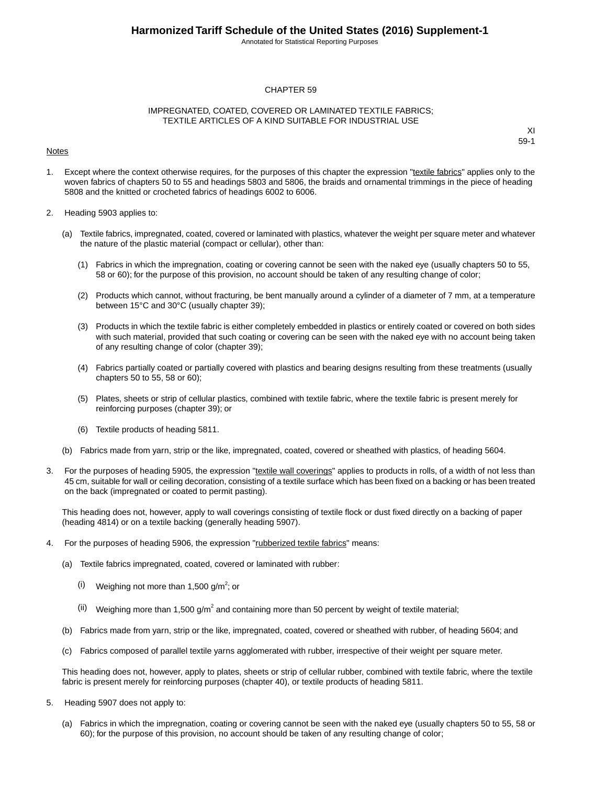Annotated for Statistical Reporting Purposes

#### CHAPTER 59

#### IMPREGNATED, COATED, COVERED OR LAMINATED TEXTILE FABRICS; TEXTILE ARTICLES OF A KIND SUITABLE FOR INDUSTRIAL USE

#### Notes

XI 59-1

- 1. Except where the context otherwise requires, for the purposes of this chapter the expression "textile fabrics" applies only to the woven fabrics of chapters 50 to 55 and headings 5803 and 5806, the braids and ornamental trimmings in the piece of heading 5808 and the knitted or crocheted fabrics of headings 6002 to 6006.
- 2. Heading 5903 applies to:
	- (a) Textile fabrics, impregnated, coated, covered or laminated with plastics, whatever the weight per square meter and whatever the nature of the plastic material (compact or cellular), other than:
		- (1) Fabrics in which the impregnation, coating or covering cannot be seen with the naked eye (usually chapters 50 to 55, 58 or 60); for the purpose of this provision, no account should be taken of any resulting change of color;
		- (2) Products which cannot, without fracturing, be bent manually around a cylinder of a diameter of 7 mm, at a temperature between 15°C and 30°C (usually chapter 39);
		- (3) Products in which the textile fabric is either completely embedded in plastics or entirely coated or covered on both sides with such material, provided that such coating or covering can be seen with the naked eye with no account being taken of any resulting change of color (chapter 39);
		- (4) Fabrics partially coated or partially covered with plastics and bearing designs resulting from these treatments (usually chapters 50 to 55, 58 or 60);
		- (5) Plates, sheets or strip of cellular plastics, combined with textile fabric, where the textile fabric is present merely for reinforcing purposes (chapter 39); or
		- (6) Textile products of heading 5811.
	- (b) Fabrics made from yarn, strip or the like, impregnated, coated, covered or sheathed with plastics, of heading 5604.
- 3. For the purposes of heading 5905, the expression "textile wall coverings" applies to products in rolls, of a width of not less than 45 cm, suitable for wall or ceiling decoration, consisting of a textile surface which has been fixed on a backing or has been treated on the back (impregnated or coated to permit pasting).

This heading does not, however, apply to wall coverings consisting of textile flock or dust fixed directly on a backing of paper (heading 4814) or on a textile backing (generally heading 5907).

- 4. For the purposes of heading 5906, the expression "rubberized textile fabrics" means:
	- (a) Textile fabrics impregnated, coated, covered or laminated with rubber:
		- $(i)$  Weighing not more than 1,500 g/m<sup>2</sup>; or
		- (ii) Weighing more than 1,500 g/m<sup>2</sup> and containing more than 50 percent by weight of textile material;
	- (b) Fabrics made from yarn, strip or the like, impregnated, coated, covered or sheathed with rubber, of heading 5604; and
	- (c) Fabrics composed of parallel textile yarns agglomerated with rubber, irrespective of their weight per square meter.

This heading does not, however, apply to plates, sheets or strip of cellular rubber, combined with textile fabric, where the textile fabric is present merely for reinforcing purposes (chapter 40), or textile products of heading 5811.

- 5. Heading 5907 does not apply to:
	- (a) Fabrics in which the impregnation, coating or covering cannot be seen with the naked eye (usually chapters 50 to 55, 58 or 60); for the purpose of this provision, no account should be taken of any resulting change of color;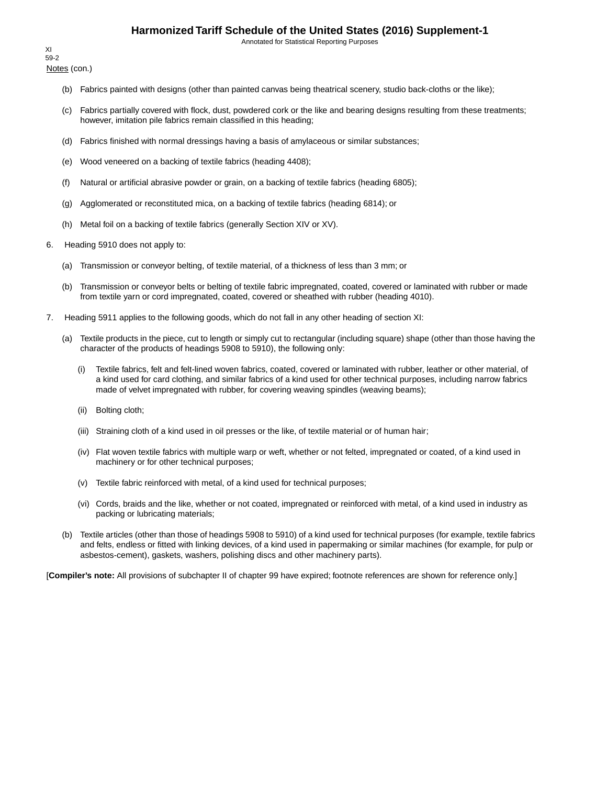Annotated for Statistical Reporting Purposes

Notes (con.) XI 59-2

- (b) Fabrics painted with designs (other than painted canvas being theatrical scenery, studio back-cloths or the like);
- (c) Fabrics partially covered with flock, dust, powdered cork or the like and bearing designs resulting from these treatments; however, imitation pile fabrics remain classified in this heading;
- (d) Fabrics finished with normal dressings having a basis of amylaceous or similar substances;
- (e) Wood veneered on a backing of textile fabrics (heading 4408);
- (f) Natural or artificial abrasive powder or grain, on a backing of textile fabrics (heading 6805);
- (g) Agglomerated or reconstituted mica, on a backing of textile fabrics (heading 6814); or
- (h) Metal foil on a backing of textile fabrics (generally Section XIV or XV).
- 6. Heading 5910 does not apply to:
	- (a) Transmission or conveyor belting, of textile material, of a thickness of less than 3 mm; or
	- (b) Transmission or conveyor belts or belting of textile fabric impregnated, coated, covered or laminated with rubber or made from textile yarn or cord impregnated, coated, covered or sheathed with rubber (heading 4010).
- 7. Heading 5911 applies to the following goods, which do not fall in any other heading of section XI:
	- (a) Textile products in the piece, cut to length or simply cut to rectangular (including square) shape (other than those having the character of the products of headings 5908 to 5910), the following only:
		- (i) Textile fabrics, felt and felt-lined woven fabrics, coated, covered or laminated with rubber, leather or other material, of a kind used for card clothing, and similar fabrics of a kind used for other technical purposes, including narrow fabrics made of velvet impregnated with rubber, for covering weaving spindles (weaving beams);
		- (ii) Bolting cloth;
		- (iii) Straining cloth of a kind used in oil presses or the like, of textile material or of human hair;
		- (iv) Flat woven textile fabrics with multiple warp or weft, whether or not felted, impregnated or coated, of a kind used in machinery or for other technical purposes;
		- (v) Textile fabric reinforced with metal, of a kind used for technical purposes;
		- (vi) Cords, braids and the like, whether or not coated, impregnated or reinforced with metal, of a kind used in industry as packing or lubricating materials;
	- (b) Textile articles (other than those of headings 5908 to 5910) of a kind used for technical purposes (for example, textile fabrics and felts, endless or fitted with linking devices, of a kind used in papermaking or similar machines (for example, for pulp or asbestos-cement), gaskets, washers, polishing discs and other machinery parts).

[**Compiler's note:** All provisions of subchapter II of chapter 99 have expired; footnote references are shown for reference only.]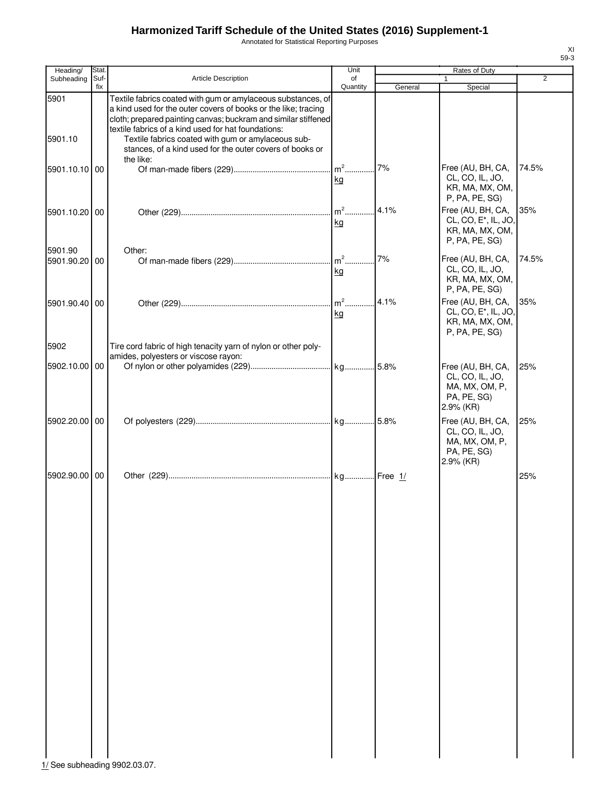Annotated for Statistical Reporting Purposes

| Heading/                 | Stat.       |                                                                                                                                                                                                                                                                                                               | Unit           |         | Rates of Duty                                                                                                |                |
|--------------------------|-------------|---------------------------------------------------------------------------------------------------------------------------------------------------------------------------------------------------------------------------------------------------------------------------------------------------------------|----------------|---------|--------------------------------------------------------------------------------------------------------------|----------------|
| Subheading               | Suf-<br>fix | <b>Article Description</b>                                                                                                                                                                                                                                                                                    | οf<br>Quantity | General | 1                                                                                                            | $\overline{2}$ |
| 5901<br>5901.10          |             | Textile fabrics coated with gum or amylaceous substances, of<br>a kind used for the outer covers of books or the like; tracing<br>cloth; prepared painting canvas; buckram and similar stiffened<br>textile fabrics of a kind used for hat foundations:<br>Textile fabrics coated with gum or amylaceous sub- |                |         | Special                                                                                                      |                |
|                          |             | stances, of a kind used for the outer covers of books or<br>the like:                                                                                                                                                                                                                                         |                |         |                                                                                                              |                |
| 5901.10.10 00            |             |                                                                                                                                                                                                                                                                                                               | kg             | 7%      | Free (AU, BH, CA,<br>CL, CO, IL, JO,<br>KR, MA, MX, OM,<br>P, PA, PE, SG)                                    | 74.5%          |
| 5901.10.20 00            |             |                                                                                                                                                                                                                                                                                                               | $m2$ .<br>kg   | 4.1%    | Free (AU, BH, CA,<br>CL, CO, E <sup>*</sup> , IL, JO,<br>KR, MA, MX, OM,<br>P, PA, PE, SG)                   | 35%            |
| 5901.90<br>5901.90.20 00 |             | Other:                                                                                                                                                                                                                                                                                                        | kg             | 7%      | Free (AU, BH, CA,<br>CL, CO, IL, JO,<br>KR, MA, MX, OM,                                                      | 74.5%          |
| 5901.90.40 00            |             |                                                                                                                                                                                                                                                                                                               | $m2$<br>kg     | 4.1%    | P, PA, PE, SG)<br>Free (AU, BH, CA,<br>CL, CO, E <sup>*</sup> , IL, JO,<br>KR, MA, MX, OM,<br>P, PA, PE, SG) | 35%            |
| 5902                     |             | Tire cord fabric of high tenacity yarn of nylon or other poly-                                                                                                                                                                                                                                                |                |         |                                                                                                              |                |
| 5902.10.00 00            |             | amides, polyesters or viscose rayon:                                                                                                                                                                                                                                                                          |                |         | Free (AU, BH, CA,<br>CL, CO, IL, JO,<br>MA, MX, OM, P,<br>PA, PE, SG)<br>2.9% (KR)                           | 25%            |
| 5902.20.00 00            |             |                                                                                                                                                                                                                                                                                                               |                |         | Free (AU, BH, CA,<br>CL, CO, IL, JO,<br>MA, MX, OM, P,<br>PA, PE, SG)                                        | 25%            |
| 5902.90.00 00            |             |                                                                                                                                                                                                                                                                                                               |                |         | 2.9% (KR)                                                                                                    | 25%            |
|                          |             |                                                                                                                                                                                                                                                                                                               |                |         |                                                                                                              |                |

 $\frac{1}{1}$ See subheading 9902.03.07.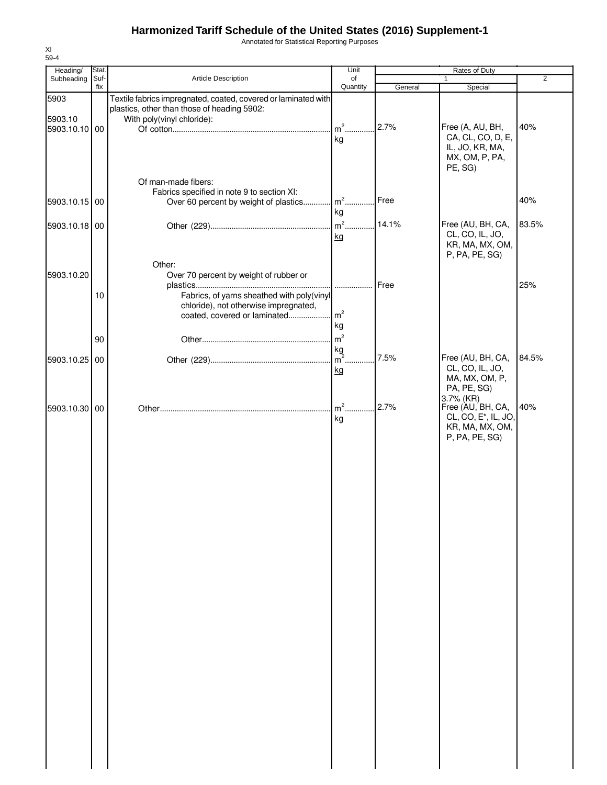Annotated for Statistical Reporting Purposes

| Heading/        | Stat. |                                                                                                                                             | Unit                                   |         | Rates of Duty                                                                                           |                |
|-----------------|-------|---------------------------------------------------------------------------------------------------------------------------------------------|----------------------------------------|---------|---------------------------------------------------------------------------------------------------------|----------------|
| Subheading      | Suf-  | Article Description                                                                                                                         | of                                     |         | $\mathbf{1}$                                                                                            | $\overline{2}$ |
|                 | fix   |                                                                                                                                             | Quantity                               | General | Special                                                                                                 |                |
| 5903<br>5903.10 |       | Textile fabrics impregnated, coated, covered or laminated with<br>plastics, other than those of heading 5902:<br>With poly(vinyl chloride): |                                        |         |                                                                                                         |                |
| 5903.10.10 00   |       |                                                                                                                                             | $m2$<br>kg                             | 2.7%    | Free (A, AU, BH,<br>CA, CL, CO, D, E,<br>IL, JO, KR, MA,<br>MX, OM, P, PA,<br>PE, SG)                   | 40%            |
| 5903.10.15 00   |       | Of man-made fibers:<br>Fabrics specified in note 9 to section XI:<br>Over 60 percent by weight of plastics                                  | $\mathsf{m}^2$<br>kg                   | Free    |                                                                                                         | 40%            |
| 5903.10.18 00   |       |                                                                                                                                             | $m2$<br>kg                             | 14.1%   | Free (AU, BH, CA,<br>CL, CO, IL, JO,<br>KR, MA, MX, OM,<br>P, PA, PE, SG)                               | 83.5%          |
| 5903.10.20      | 10    | Other:<br>Over 70 percent by weight of rubber or<br>Fabrics, of yarns sheathed with poly(vinyl                                              | .                                      | Free    |                                                                                                         | 25%            |
|                 | 90    | chloride), not otherwise impregnated,<br>coated, covered or laminated                                                                       | m <sup>2</sup><br>kg<br>m <sup>2</sup> |         |                                                                                                         |                |
| 5903.10.25 00   |       |                                                                                                                                             | kg<br>$m2$<br>kg                       | 7.5%    | Free (AU, BH, CA,<br>CL, CO, IL, JO,<br>MA, MX, OM, P,<br>PA, PE, SG)                                   | 84.5%          |
| 5903.10.30 00   |       |                                                                                                                                             | $m2$ .<br>kg                           | 2.7%    | 3.7% (KR)<br>Free (AU, BH, CA,<br>CL, CO, E <sup>*</sup> , IL, JO,<br>KR, MA, MX, OM,<br>P, PA, PE, SG) | 40%            |
|                 |       |                                                                                                                                             |                                        |         |                                                                                                         |                |
|                 |       |                                                                                                                                             |                                        |         |                                                                                                         |                |
|                 |       |                                                                                                                                             |                                        |         |                                                                                                         |                |
|                 |       |                                                                                                                                             |                                        |         |                                                                                                         |                |
|                 |       |                                                                                                                                             |                                        |         |                                                                                                         |                |
|                 |       |                                                                                                                                             |                                        |         |                                                                                                         |                |
|                 |       |                                                                                                                                             |                                        |         |                                                                                                         |                |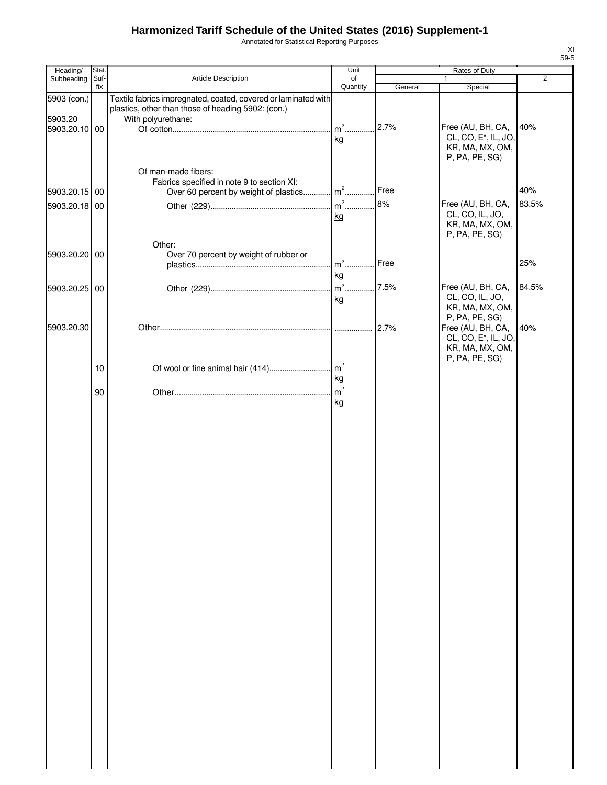Annotated for Statistical Reporting Purposes

| Heading/      | Stat.       |                                                                | Unit           |         | Rates of Duty                                         |                |
|---------------|-------------|----------------------------------------------------------------|----------------|---------|-------------------------------------------------------|----------------|
| Subheading    | Suf-<br>fix | Article Description                                            | of<br>Quantity | General | $\mathbf{1}$<br>Special                               | $\overline{2}$ |
| 5903 (con.)   |             | Textile fabrics impregnated, coated, covered or laminated with |                |         |                                                       |                |
|               |             | plastics, other than those of heading 5902: (con.)             |                |         |                                                       |                |
| 5903.20       |             | With polyurethane:                                             |                |         |                                                       |                |
| 5903.20.10 00 |             |                                                                |                | 2.7%    | Free (AU, BH, CA,<br>CL, CO, E <sup>*</sup> , IL, JO, | 40%            |
|               |             |                                                                | kg             |         | KR, MA, MX, OM,                                       |                |
|               |             |                                                                |                |         | P, PA, PE, SG)                                        |                |
|               |             | Of man-made fibers:                                            |                |         |                                                       |                |
|               |             | Fabrics specified in note 9 to section XI:                     |                |         |                                                       |                |
| 5903.20.15 00 |             | Over 60 percent by weight of plastics m <sup>2</sup>           |                | Free    |                                                       | 40%            |
| 5903.20.18 00 |             |                                                                |                | 8%      | Free (AU, BH, CA,                                     | 83.5%          |
|               |             |                                                                | kg             |         | CL, CO, IL, JO,<br>KR, MA, MX, OM,                    |                |
|               |             |                                                                |                |         | P, PA, PE, SG)                                        |                |
|               |             | Other:                                                         |                |         |                                                       |                |
| 5903.20.20 00 |             | Over 70 percent by weight of rubber or                         | $m2$           | Free    |                                                       | 25%            |
|               |             |                                                                | kg             |         |                                                       |                |
| 5903.20.25 00 |             |                                                                |                |         | Free (AU, BH, CA,                                     | 84.5%          |
|               |             |                                                                | kg             |         | CL, CO, IL, JO,                                       |                |
|               |             |                                                                |                |         | KR, MA, MX, OM,                                       |                |
| 5903.20.30    |             |                                                                |                | 2.7%    | P, PA, PE, SG)<br>Free (AU, BH, CA,                   | 40%            |
|               |             |                                                                |                |         | CL, CO, E <sup>*</sup> , IL, JO,                      |                |
|               |             |                                                                |                |         | KR, MA, MX, OM,                                       |                |
|               |             |                                                                |                |         | P, PA, PE, SG)                                        |                |
|               | 10          |                                                                | kg             |         |                                                       |                |
|               |             |                                                                | m <sup>2</sup> |         |                                                       |                |
|               | 90          |                                                                | kg             |         |                                                       |                |
|               |             |                                                                |                |         |                                                       |                |
|               |             |                                                                |                |         |                                                       |                |
|               |             |                                                                |                |         |                                                       |                |
|               |             |                                                                |                |         |                                                       |                |
|               |             |                                                                |                |         |                                                       |                |
|               |             |                                                                |                |         |                                                       |                |
|               |             |                                                                |                |         |                                                       |                |
|               |             |                                                                |                |         |                                                       |                |
|               |             |                                                                |                |         |                                                       |                |
|               |             |                                                                |                |         |                                                       |                |
|               |             |                                                                |                |         |                                                       |                |
|               |             |                                                                |                |         |                                                       |                |
|               |             |                                                                |                |         |                                                       |                |
|               |             |                                                                |                |         |                                                       |                |
|               |             |                                                                |                |         |                                                       |                |
|               |             |                                                                |                |         |                                                       |                |
|               |             |                                                                |                |         |                                                       |                |
|               |             |                                                                |                |         |                                                       |                |
|               |             |                                                                |                |         |                                                       |                |
|               |             |                                                                |                |         |                                                       |                |
|               |             |                                                                |                |         |                                                       |                |
|               |             |                                                                |                |         |                                                       |                |
|               |             |                                                                |                |         |                                                       |                |
|               |             |                                                                |                |         |                                                       |                |
|               |             |                                                                |                |         |                                                       |                |
|               |             |                                                                |                |         |                                                       |                |
|               |             |                                                                |                |         |                                                       |                |
|               |             |                                                                |                |         |                                                       |                |
|               |             |                                                                |                |         |                                                       |                |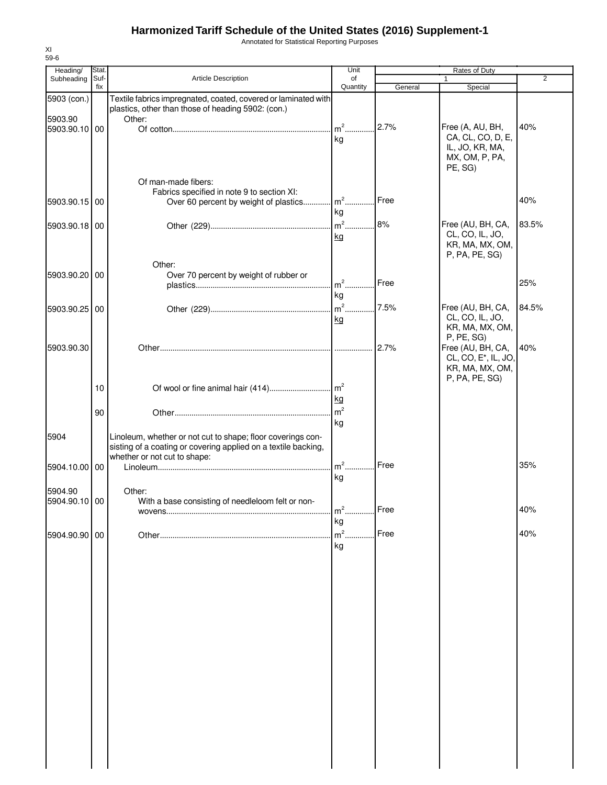Annotated for Statistical Reporting Purposes

| Heading/                 | Stat.       |                                                                                                                                                               | Unit                           |         | Rates of Duty                                                                          |                |
|--------------------------|-------------|---------------------------------------------------------------------------------------------------------------------------------------------------------------|--------------------------------|---------|----------------------------------------------------------------------------------------|----------------|
| Subheading               | Suf-<br>fix | Article Description                                                                                                                                           | of<br>Quantity                 |         | 1                                                                                      | $\overline{2}$ |
| 5903 (con.)              |             | Textile fabrics impregnated, coated, covered or laminated with<br>plastics, other than those of heading 5902: (con.)                                          |                                | General | Special                                                                                |                |
| 5903.90<br>5903.90.10 00 |             | Other:                                                                                                                                                        | $m2$                           | 2.7%    | Free (A, AU, BH,                                                                       | 40%            |
|                          |             | Of man-made fibers:                                                                                                                                           | kg                             |         | CA, CL, CO, D, E,<br>IL, JO, KR, MA,<br>MX, OM, P, PA,<br>PE, SG)                      |                |
| 5903.90.15               | 00          | Fabrics specified in note 9 to section XI:<br>Over 60 percent by weight of plastics                                                                           | $m2$ .                         | Free    |                                                                                        | 40%            |
| 5903.90.18 00            |             |                                                                                                                                                               | kg<br>$m2$ .                   | 8%      | Free (AU, BH, CA,                                                                      | 83.5%          |
|                          |             |                                                                                                                                                               | kg                             |         | CL, CO, IL, JO,<br>KR, MA, MX, OM,<br>P, PA, PE, SG)                                   |                |
| 5903.90.20               | 00          | Other:<br>Over 70 percent by weight of rubber or                                                                                                              | m <sup>2</sup>                 | Free    |                                                                                        | 25%            |
| 5903.90.25 00            |             |                                                                                                                                                               | kg<br>$m2$ .<br>kg             | 7.5%    | Free (AU, BH, CA,<br>CL, CO, IL, JO,                                                   | 84.5%          |
| 5903.90.30               |             |                                                                                                                                                               | .                              | 2.7%    | KR, MA, MX, OM,<br>P, PE, SG)<br>Free (AU, BH, CA,<br>CL, CO, E <sup>*</sup> , IL, JO, | 40%            |
|                          | 10          |                                                                                                                                                               |                                |         | KR, MA, MX, OM,<br>P, PA, PE, SG)                                                      |                |
|                          | 90          |                                                                                                                                                               | <u>kg</u><br>m <sup>2</sup>    |         |                                                                                        |                |
| 5904                     |             | Linoleum, whether or not cut to shape; floor coverings con-<br>sisting of a coating or covering applied on a textile backing,<br>whether or not cut to shape: | kg                             |         |                                                                                        |                |
| 5904.10.00               | 00          |                                                                                                                                                               | $m2$ .<br>kg                   | Free    |                                                                                        | 35%            |
| 5904.90<br>5904.90.10 00 |             | Other:<br>With a base consisting of needleloom felt or non-                                                                                                   |                                | Free    |                                                                                        | 40%            |
| 5904.90.90 00            |             |                                                                                                                                                               | m <sup>-</sup><br>kg<br>$m2$ . | Free    |                                                                                        | 40%            |
|                          |             |                                                                                                                                                               | kg                             |         |                                                                                        |                |
|                          |             |                                                                                                                                                               |                                |         |                                                                                        |                |
|                          |             |                                                                                                                                                               |                                |         |                                                                                        |                |
|                          |             |                                                                                                                                                               |                                |         |                                                                                        |                |
|                          |             |                                                                                                                                                               |                                |         |                                                                                        |                |
|                          |             |                                                                                                                                                               |                                |         |                                                                                        |                |
|                          |             |                                                                                                                                                               |                                |         |                                                                                        |                |
|                          |             |                                                                                                                                                               |                                |         |                                                                                        |                |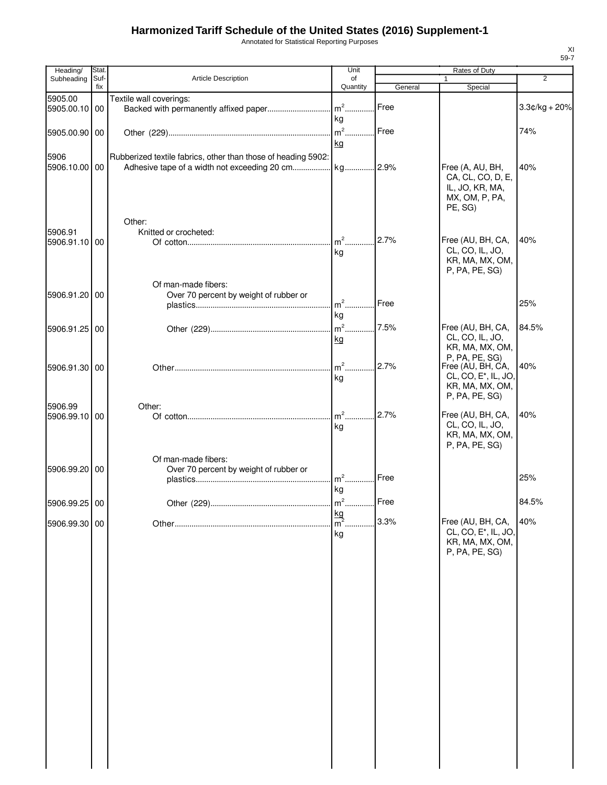Annotated for Statistical Reporting Purposes

| Heading/                 | Stat.       |                                                               | Unit                             |         | Rates of Duty                                                                         |                 |
|--------------------------|-------------|---------------------------------------------------------------|----------------------------------|---------|---------------------------------------------------------------------------------------|-----------------|
| Subheading               | Suf-<br>fix | Article Description                                           | of<br>Quantity                   | General | 1<br>Special                                                                          | $\overline{2}$  |
| 5905.00<br>5905.00.10 00 |             | Textile wall coverings:                                       |                                  | Free    |                                                                                       | $3.3¢/kg + 20%$ |
|                          |             |                                                               | kg                               |         |                                                                                       |                 |
| 5905.00.90 00            |             |                                                               | kg                               | Free    |                                                                                       | 74%             |
| 5906<br>5906.10.00 00    |             | Rubberized textile fabrics, other than those of heading 5902: |                                  |         | Free (A, AU, BH,<br>CA, CL, CO, D, E,<br>IL, JO, KR, MA,<br>MX, OM, P, PA,<br>PE, SG) | 40%             |
|                          |             | Other:                                                        |                                  |         |                                                                                       |                 |
| 5906.91<br>5906.91.10 00 |             | Knitted or crocheted:                                         | $m2$                             | 2.7%    | Free (AU, BH, CA,                                                                     | 40%             |
|                          |             |                                                               | kg                               |         | CL, CO, IL, JO,<br>KR, MA, MX, OM,<br>P, PA, PE, SG)                                  |                 |
|                          |             | Of man-made fibers:                                           |                                  |         |                                                                                       |                 |
| 5906.91.20 00            |             | Over 70 percent by weight of rubber or                        | $m2$                             | Free    |                                                                                       | 25%             |
|                          |             |                                                               | kg                               |         |                                                                                       |                 |
| 5906.91.25 00            |             |                                                               |                                  | 7.5%    | Free (AU, BH, CA,                                                                     | 84.5%           |
|                          |             |                                                               | kg                               |         | CL, CO, IL, JO,<br>KR, MA, MX, OM,                                                    |                 |
|                          |             |                                                               | $m2$ .                           | 2.7%    | P, PA, PE, SG)<br>Free (AU, BH, CA,                                                   | 40%             |
| 5906.91.30 00            |             |                                                               | kg                               |         | CL, CO, E <sup>*</sup> , IL, JO,                                                      |                 |
|                          |             |                                                               |                                  |         | KR, MA, MX, OM,<br>P, PA, PE, SG)                                                     |                 |
| 5906.99                  |             | Other:                                                        |                                  |         |                                                                                       |                 |
| 5906.99.10 00            |             |                                                               | $m2$                             | 2.7%    | Free (AU, BH, CA,<br>CL, CO, IL, JO,                                                  | 40%             |
|                          |             |                                                               | kg                               |         | KR, MA, MX, OM,                                                                       |                 |
|                          |             |                                                               |                                  |         | P, PA, PE, SG)                                                                        |                 |
| 5906.99.20 00            |             | Of man-made fibers:<br>Over 70 percent by weight of rubber or |                                  |         |                                                                                       |                 |
|                          |             |                                                               | $m^2$                            | Free    |                                                                                       | 25%             |
|                          |             |                                                               | kg                               |         |                                                                                       |                 |
| 5906.99.25 00            |             |                                                               | $m2$ .                           | Free    |                                                                                       | 84.5%           |
| 5906.99.30 00            |             |                                                               | $\frac{\text{kg}}{\text{m}^2}$ . | 3.3%    | Free (AU, BH, CA,                                                                     | 40%             |
|                          |             |                                                               | kg                               |         | CL, CO, E <sup>*</sup> , IL, JO,<br>KR, MA, MX, OM,                                   |                 |
|                          |             |                                                               |                                  |         | P, PA, PE, SG)                                                                        |                 |
|                          |             |                                                               |                                  |         |                                                                                       |                 |
|                          |             |                                                               |                                  |         |                                                                                       |                 |
|                          |             |                                                               |                                  |         |                                                                                       |                 |
|                          |             |                                                               |                                  |         |                                                                                       |                 |
|                          |             |                                                               |                                  |         |                                                                                       |                 |
|                          |             |                                                               |                                  |         |                                                                                       |                 |
|                          |             |                                                               |                                  |         |                                                                                       |                 |
|                          |             |                                                               |                                  |         |                                                                                       |                 |
|                          |             |                                                               |                                  |         |                                                                                       |                 |
|                          |             |                                                               |                                  |         |                                                                                       |                 |
|                          |             |                                                               |                                  |         |                                                                                       |                 |
|                          |             |                                                               |                                  |         |                                                                                       |                 |
|                          |             |                                                               |                                  |         |                                                                                       |                 |
|                          |             |                                                               |                                  |         |                                                                                       |                 |
|                          |             |                                                               |                                  |         |                                                                                       |                 |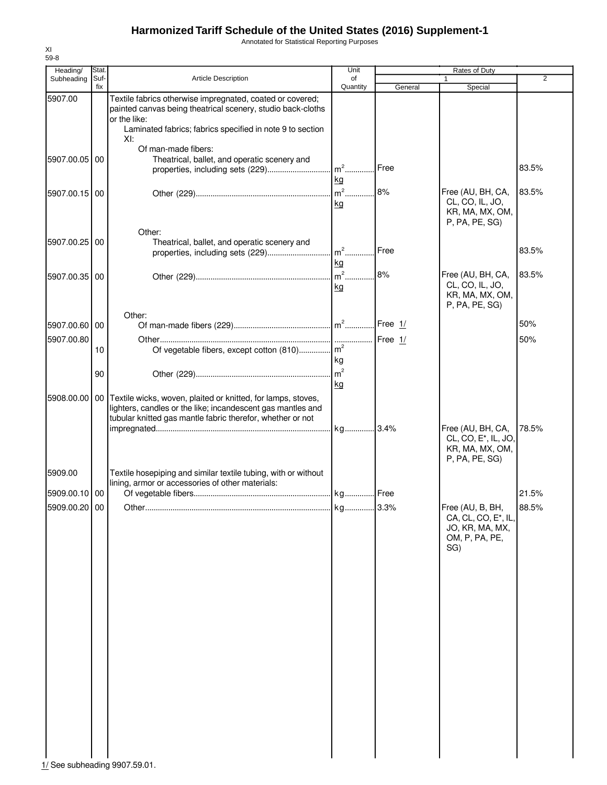Annotated for Statistical Reporting Purposes

| Heading/      | Stat.       |                                                                                                                                                                                                              | Unit                 | Rates of Duty |                                                                                     |                |  |
|---------------|-------------|--------------------------------------------------------------------------------------------------------------------------------------------------------------------------------------------------------------|----------------------|---------------|-------------------------------------------------------------------------------------|----------------|--|
| Subheading    | Suf-<br>fix | Article Description                                                                                                                                                                                          | of<br>Quantity       | General       | 1.<br>Special                                                                       | $\overline{2}$ |  |
| 5907.00       |             | Textile fabrics otherwise impregnated, coated or covered;<br>painted canvas being theatrical scenery, studio back-cloths<br>or the like:<br>Laminated fabrics; fabrics specified in note 9 to section<br>XI: |                      |               |                                                                                     |                |  |
| 5907.00.05 00 |             | Of man-made fibers:<br>Theatrical, ballet, and operatic scenery and<br>properties, including sets (229)                                                                                                      | $m^2$<br>kg          | Free          |                                                                                     | 83.5%          |  |
| 5907.00.15 00 |             |                                                                                                                                                                                                              | $m2$<br>kg           | 8%            | Free (AU, BH, CA,<br>CL, CO, IL, JO,<br>KR, MA, MX, OM,<br>P, PA, PE, SG)           | 83.5%          |  |
| 5907.00.25 00 |             | Other:<br>Theatrical, ballet, and operatic scenery and<br>properties, including sets (229)                                                                                                                   | $m2$ .<br>kg         | Free          |                                                                                     | 83.5%          |  |
| 5907.00.35 00 |             |                                                                                                                                                                                                              | $m2$<br>kg           | 8%            | Free (AU, BH, CA,<br>CL, CO, IL, JO,<br>KR, MA, MX, OM,<br>P, PA, PE, SG)           | 83.5%          |  |
| 5907.00.60 00 |             | Other:                                                                                                                                                                                                       |                      | Free $1/$     |                                                                                     | 50%            |  |
| 5907.00.80    | 10          | Of vegetable fibers, except cotton (810) m <sup>2</sup>                                                                                                                                                      | kg                   | Free $1/$     |                                                                                     | 50%            |  |
|               | 90          |                                                                                                                                                                                                              | m <sup>2</sup><br>kg |               |                                                                                     |                |  |
| 5908.00.00    |             | 00 Textile wicks, woven, plaited or knitted, for lamps, stoves,<br>lighters, candles or the like; incandescent gas mantles and<br>tubular knitted gas mantle fabric therefor, whether or not                 | kg 3.4%              |               | Free (AU, BH, CA,                                                                   | 78.5%          |  |
| 5909.00       |             | Textile hosepiping and similar textile tubing, with or without                                                                                                                                               |                      |               | CL, CO, E <sup>*</sup> , IL, JO,<br>KR, MA, MX, OM,<br>P, PA, PE, SG)               |                |  |
| 5909.00.10 00 |             | lining, armor or accessories of other materials:                                                                                                                                                             |                      |               |                                                                                     | 21.5%          |  |
| 5909.00.20 00 |             | Other.                                                                                                                                                                                                       | kg.                  | 3.3%          | Free (AU, B, BH,<br>CA, CL, CO, E*, IL,<br>JO, KR, MA, MX,<br>OM, P, PA, PE,<br>SG) | 88.5%          |  |
|               |             |                                                                                                                                                                                                              |                      |               |                                                                                     |                |  |
|               |             |                                                                                                                                                                                                              |                      |               |                                                                                     |                |  |
|               |             |                                                                                                                                                                                                              |                      |               |                                                                                     |                |  |
|               |             |                                                                                                                                                                                                              |                      |               |                                                                                     |                |  |
|               |             |                                                                                                                                                                                                              |                      |               |                                                                                     |                |  |

XI 59-8

1/ See subheading 9907.59.01.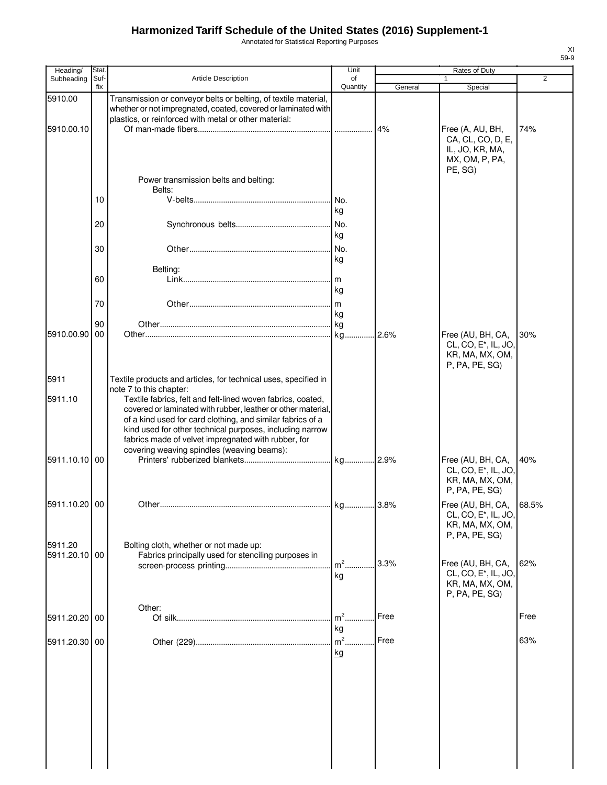Annotated for Statistical Reporting Purposes

| Heading/                 | Stat.       |                                                                                                                                                                                                                                                                                                                                                            | Unit            |         | Rates of Duty                                                                                    |                |
|--------------------------|-------------|------------------------------------------------------------------------------------------------------------------------------------------------------------------------------------------------------------------------------------------------------------------------------------------------------------------------------------------------------------|-----------------|---------|--------------------------------------------------------------------------------------------------|----------------|
| Subheading               | Suf-<br>fix | <b>Article Description</b>                                                                                                                                                                                                                                                                                                                                 | of<br>Quantity  | General | Special                                                                                          | $\overline{2}$ |
| 5910.00                  |             | Transmission or conveyor belts or belting, of textile material,<br>whether or not impregnated, coated, covered or laminated with<br>plastics, or reinforced with metal or other material:                                                                                                                                                                  |                 |         |                                                                                                  |                |
| 5910.00.10               |             | Power transmission belts and belting:                                                                                                                                                                                                                                                                                                                      |                 | 4%      | Free (A, AU, BH,<br>CA, CL, CO, D, E,<br>IL, JO, KR, MA,<br>MX, OM, P, PA,<br>PE, SG)            | 74%            |
|                          | 10          | Belts:                                                                                                                                                                                                                                                                                                                                                     | No.             |         |                                                                                                  |                |
|                          | 20          |                                                                                                                                                                                                                                                                                                                                                            | ka<br>No.<br>kg |         |                                                                                                  |                |
|                          | 30          |                                                                                                                                                                                                                                                                                                                                                            | No.<br>kg       |         |                                                                                                  |                |
|                          | 60          | Belting:                                                                                                                                                                                                                                                                                                                                                   | kg              |         |                                                                                                  |                |
|                          | 70<br>90    |                                                                                                                                                                                                                                                                                                                                                            | kg              |         |                                                                                                  |                |
| 5910.00.90               | 00          |                                                                                                                                                                                                                                                                                                                                                            |                 |         | Free (AU, BH, CA,<br>CL, CO, E <sup>*</sup> , IL, JO,<br>KR, MA, MX, OM,<br>P, PA, PE, SG)       | 30%            |
| 5911                     |             | Textile products and articles, for technical uses, specified in<br>note 7 to this chapter:                                                                                                                                                                                                                                                                 |                 |         |                                                                                                  |                |
| 5911.10                  |             | Textile fabrics, felt and felt-lined woven fabrics, coated,<br>covered or laminated with rubber, leather or other material,<br>of a kind used for card clothing, and similar fabrics of a<br>kind used for other technical purposes, including narrow<br>fabrics made of velvet impregnated with rubber, for<br>covering weaving spindles (weaving beams): |                 |         |                                                                                                  |                |
| 5911.10.10 00            |             |                                                                                                                                                                                                                                                                                                                                                            |                 |         | Free (AU, BH, CA,<br>CL, CO, E <sup>*</sup> , IL, JO,<br>KR, MA, MX, OM,<br>P, PA, PE, SG)       | 40%            |
| 5911.10.20 00            |             | Other                                                                                                                                                                                                                                                                                                                                                      | lka.            | 3.8%    | Free (AU, BH, CA, 68.5%<br>CL, CO, E <sup>*</sup> , IL, JO,<br>KR, MA, MX, OM,<br>P, PA, PE, SG) |                |
| 5911.20<br>5911.20.10 00 |             | Bolting cloth, whether or not made up:<br>Fabrics principally used for stenciling purposes in                                                                                                                                                                                                                                                              | $m2$ .          | 3.3%    | Free (AU, BH, CA,                                                                                | 62%            |
|                          |             |                                                                                                                                                                                                                                                                                                                                                            | kg              |         | CL, CO, E*, IL, JO,<br>KR, MA, MX, OM,<br>P, PA, PE, SG)                                         |                |
| 5911.20.20 00            |             | Other:                                                                                                                                                                                                                                                                                                                                                     | $m2$ .<br>kg    | Free    |                                                                                                  | Free           |
| 5911.20.30 00            |             |                                                                                                                                                                                                                                                                                                                                                            | $m2$ .<br>kg    | Free    |                                                                                                  | 63%            |
|                          |             |                                                                                                                                                                                                                                                                                                                                                            |                 |         |                                                                                                  |                |
|                          |             |                                                                                                                                                                                                                                                                                                                                                            |                 |         |                                                                                                  |                |
|                          |             |                                                                                                                                                                                                                                                                                                                                                            |                 |         |                                                                                                  |                |
|                          |             |                                                                                                                                                                                                                                                                                                                                                            |                 |         |                                                                                                  |                |